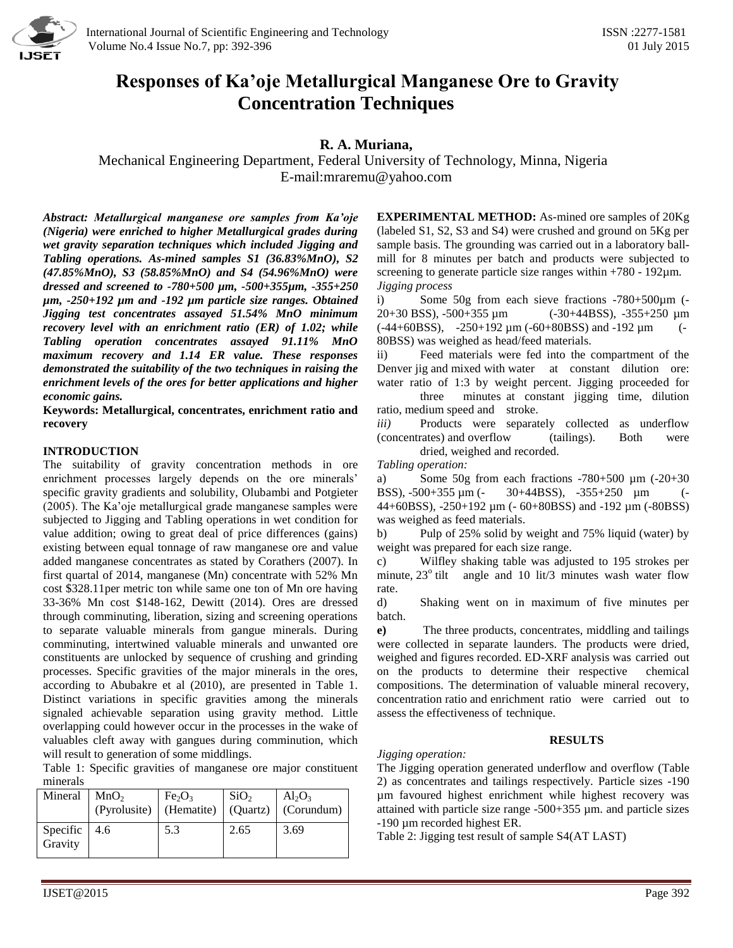

# **Responses of Ka'oje Metallurgical Manganese Ore to Gravity Concentration Techniques**

# **R. A. Muriana,**

Mechanical Engineering Department, Federal University of Technology, Minna, Nigeria E-mail[:mraremu@yahoo.com](mailto:mraremu@yahoo.com)

*Abstract: Metallurgical manganese ore samples from Ka'oje (Nigeria) were enriched to higher Metallurgical grades during wet gravity separation techniques which included Jigging and Tabling operations. As-mined samples S1 (36.83%MnO), S2 (47.85%MnO), S3 (58.85%MnO) and S4 (54.96%MnO) were dressed and screened to -780+500 µm, -500+355µm, -355+250 µm, -250+192 µm and -192 µm particle size ranges. Obtained Jigging test concentrates assayed 51.54% MnO minimum recovery level with an enrichment ratio (ER) of 1.02; while Tabling operation concentrates assayed 91.11% MnO maximum recovery and 1.14 ER value. These responses demonstrated the suitability of the two techniques in raising the enrichment levels of the ores for better applications and higher economic gains.*

**Keywords: Metallurgical, concentrates, enrichment ratio and recovery**

### **INTRODUCTION**

The suitability of gravity concentration methods in ore enrichment processes largely depends on the ore minerals' specific gravity gradients and solubility, Olubambi and Potgieter (2005). The Ka'oje metallurgical grade manganese samples were subjected to Jigging and Tabling operations in wet condition for value addition; owing to great deal of price differences (gains) existing between equal tonnage of raw manganese ore and value added manganese concentrates as stated by Corathers (2007). In first quartal of 2014, manganese (Mn) concentrate with 52% Mn cost \$328.11per metric ton while same one ton of Mn ore having 33-36% Mn cost \$148-162, Dewitt (2014). Ores are dressed through comminuting, liberation, sizing and screening operations to separate valuable minerals from gangue minerals. During comminuting, intertwined valuable minerals and unwanted ore constituents are unlocked by sequence of crushing and grinding processes. Specific gravities of the major minerals in the ores, according to Abubakre et al (2010), are presented in Table 1. Distinct variations in specific gravities among the minerals signaled achievable separation using gravity method. Little overlapping could however occur in the processes in the wake of valuables cleft away with gangues during comminution, which will result to generation of some middlings.

Table 1: Specific gravities of manganese ore major constituent minerals

| Mineral                 | MnO <sub>2</sub> | Fe <sub>2</sub> O <sub>3</sub> | SiO <sub>2</sub> | $Al_2O_3$<br>(Pyrolusite)   (Hematite)   (Quartz)   (Corundum) |
|-------------------------|------------------|--------------------------------|------------------|----------------------------------------------------------------|
| Specific 4.6<br>Gravity |                  | 5.3                            | 2.65             | 3.69                                                           |

**EXPERIMENTAL METHOD:** As-mined ore samples of 20Kg (labeled S1, S2, S3 and S4) were crushed and ground on 5Kg per sample basis. The grounding was carried out in a laboratory ballmill for 8 minutes per batch and products were subjected to screening to generate particle size ranges within  $+780 - 192 \mu m$ . *Jigging process*

i) Some 50g from each sieve fractions -780+500µm (- 20+30 BSS), -500+355 µm (-30+44BSS), -355+250 µm  $(-44+60BSS)$ ,  $-250+192 \mu m (-60+80BSS)$  and  $-192 \mu m$  (-80BSS) was weighed as head/feed materials.

ii) Feed materials were fed into the compartment of the Denver jig and mixed with water at constant dilution ore: water ratio of 1:3 by weight percent. Jigging proceeded for three minutes at constant jigging time, dilution

ratio, medium speed and stroke. *iii)* Products were separately collected as underflow

(concentrates) and overflow (tailings). Both were dried, weighed and recorded.

# *Tabling operation:*

a) Some 50g from each fractions -780+500 µm (-20+30 BSS), -500+355 μm (- 30+44BSS), -355+250 μm 44+60BSS), -250+192 µm (- 60+80BSS) and -192 µm (-80BSS) was weighed as feed materials.

b) Pulp of 25% solid by weight and 75% liquid (water) by weight was prepared for each size range.

c) Wilfley shaking table was adjusted to 195 strokes per minute,  $23^\circ$  tilt angle and 10 lit/3 minutes wash water flow rate.

d) Shaking went on in maximum of five minutes per batch.

**e)** The three products, concentrates, middling and tailings were collected in separate launders. The products were dried, weighed and figures recorded. ED-XRF analysis was carried out on the products to determine their respective chemical compositions. The determination of valuable mineral recovery, concentration ratio and enrichment ratio were carried out to assess the effectiveness of technique.

# **RESULTS**

# *Jigging operation:*

The Jigging operation generated underflow and overflow (Table 2) as concentrates and tailings respectively. Particle sizes -190 µm favoured highest enrichment while highest recovery was attained with particle size range -500+355 µm. and particle sizes -190 µm recorded highest ER.

Table 2: Jigging test result of sample S4(AT LAST)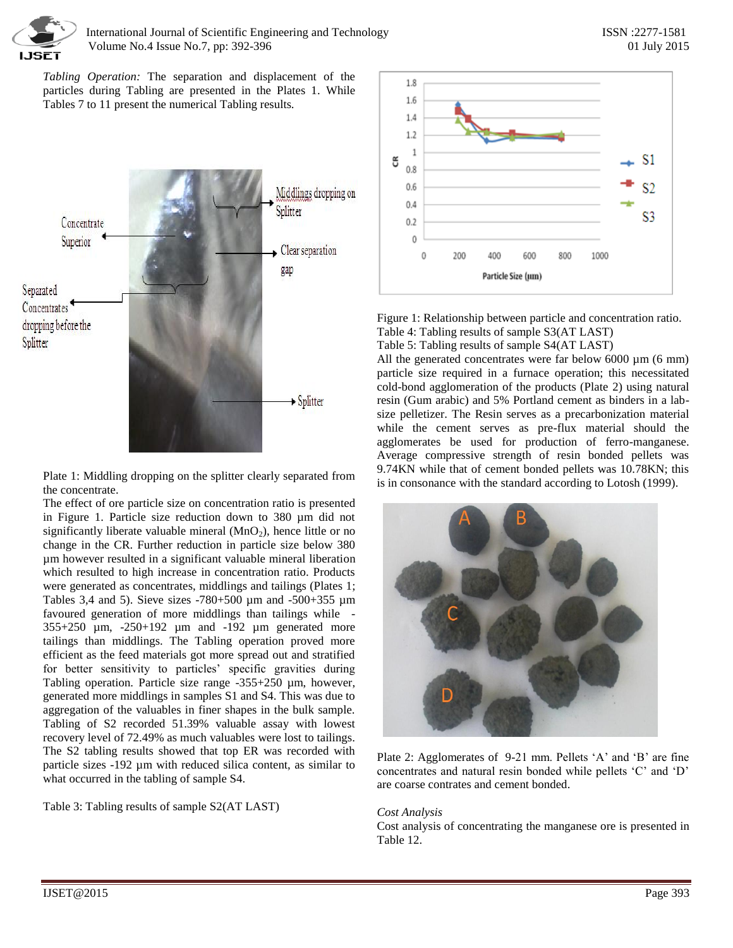

*Tabling Operation:* The separation and displacement of the particles during Tabling are presented in the Plates 1. While Tables 7 to 11 present the numerical Tabling results.



Plate 1: Middling dropping on the splitter clearly separated from the concentrate.

The effect of ore particle size on concentration ratio is presented in Figure 1. Particle size reduction down to 380 µm did not significantly liberate valuable mineral  $(MnO<sub>2</sub>)$ , hence little or no change in the CR. Further reduction in particle size below 380 µm however resulted in a significant valuable mineral liberation which resulted to high increase in concentration ratio. Products were generated as concentrates, middlings and tailings (Plates 1; Tables 3,4 and 5). Sieve sizes -780+500 µm and -500+355 µm favoured generation of more middlings than tailings while - 355+250 µm, -250+192 µm and -192 µm generated more tailings than middlings. The Tabling operation proved more efficient as the feed materials got more spread out and stratified for better sensitivity to particles' specific gravities during Tabling operation. Particle size range -355+250 µm, however, generated more middlings in samples S1 and S4. This was due to aggregation of the valuables in finer shapes in the bulk sample. Tabling of S2 recorded 51.39% valuable assay with lowest recovery level of 72.49% as much valuables were lost to tailings. The S2 tabling results showed that top ER was recorded with particle sizes -192 µm with reduced silica content, as similar to what occurred in the tabling of sample S4.

Table 3: Tabling results of sample S2(AT LAST)



Figure 1: Relationship between particle and concentration ratio. Table 4: Tabling results of sample S3(AT LAST)

Table 5: Tabling results of sample S4(AT LAST)

All the generated concentrates were far below  $6000 \mu m$  (6 mm) particle size required in a furnace operation; this necessitated cold-bond agglomeration of the products (Plate 2) using natural resin (Gum arabic) and 5% Portland cement as binders in a labsize pelletizer. The Resin serves as a precarbonization material while the cement serves as pre-flux material should the agglomerates be used for production of ferro-manganese. Average compressive strength of resin bonded pellets was 9.74KN while that of cement bonded pellets was 10.78KN; this is in consonance with the standard according to Lotosh (1999).



Plate 2: Agglomerates of 9-21 mm. Pellets 'A' and 'B' are fine concentrates and natural resin bonded while pellets 'C' and 'D' are coarse contrates and cement bonded.

#### *Cost Analysis*

Cost analysis of concentrating the manganese ore is presented in Table 12.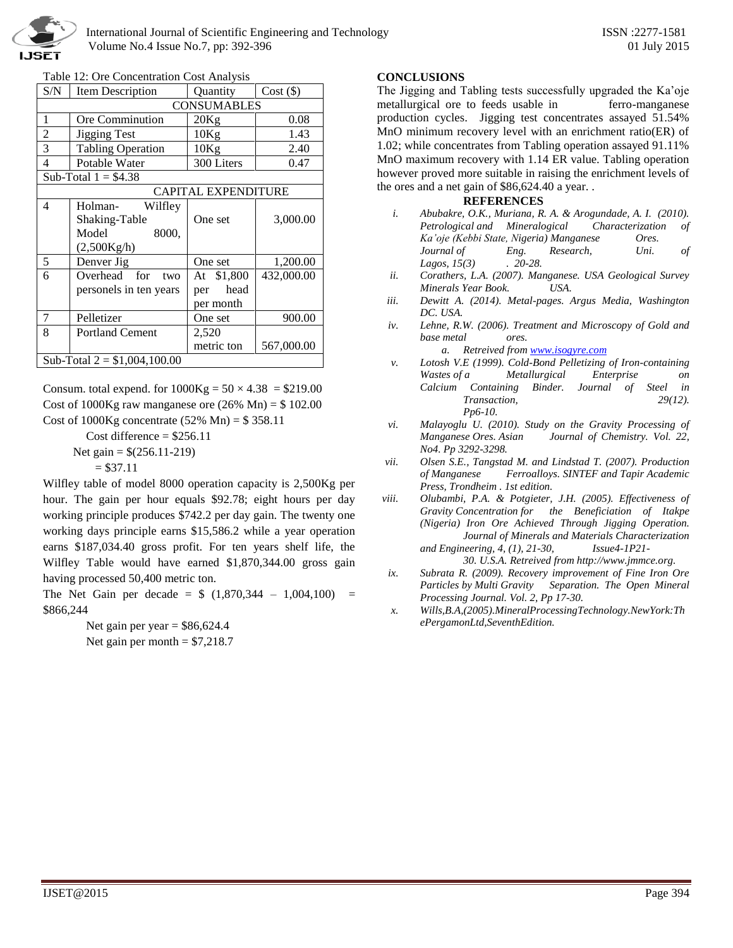

Table 12: Ore Concentration Cost Analysis

| S/N                           | Item Description                                      | Quantity                               | $Cost (\$)$ |  |  |  |  |  |  |
|-------------------------------|-------------------------------------------------------|----------------------------------------|-------------|--|--|--|--|--|--|
|                               |                                                       | <b>CONSUMABLES</b>                     |             |  |  |  |  |  |  |
| 1                             | Ore Comminution                                       | 20Kg                                   | 0.08        |  |  |  |  |  |  |
| $\overline{c}$                | <b>Jigging Test</b>                                   | 10Kg                                   | 1.43        |  |  |  |  |  |  |
| 3                             | <b>Tabling Operation</b>                              | 10Kg                                   | 2.40        |  |  |  |  |  |  |
| 4                             | Potable Water                                         | 300 Liters                             | 0.47        |  |  |  |  |  |  |
|                               | Sub-Total $1 = $4.38$                                 |                                        |             |  |  |  |  |  |  |
| <b>CAPITAL EXPENDITURE</b>    |                                                       |                                        |             |  |  |  |  |  |  |
| 4                             | Holman-<br>Wilfley<br>Shaking-Table<br>Model<br>8000, | One set                                | 3,000.00    |  |  |  |  |  |  |
|                               | (2,500Kg/h)                                           |                                        |             |  |  |  |  |  |  |
| 5                             | Denver Jig                                            | One set                                | 1,200.00    |  |  |  |  |  |  |
| 6                             | Overhead for<br>two<br>personels in ten years         | At \$1,800<br>head<br>per<br>per month | 432,000.00  |  |  |  |  |  |  |
| 7                             | Pelletizer                                            | One set                                | 900.00      |  |  |  |  |  |  |
| 8                             | <b>Portland Cement</b>                                | 2,520                                  |             |  |  |  |  |  |  |
|                               |                                                       | metric ton                             | 567,000.00  |  |  |  |  |  |  |
| Sub-Total $2 = $1,004,100.00$ |                                                       |                                        |             |  |  |  |  |  |  |

Consum. total expend. for  $1000Kg = 50 \times 4.38 = $219.00$ Cost of 1000Kg raw manganese ore  $(26\% \text{ Mn}) = $102.00$ Cost of 1000Kg concentrate (52% Mn) = \$ 358.11

> Cost difference  $= $256.11$  Net gain = \$(256.11-219)  $= $37.11$

Wilfley table of model 8000 operation capacity is 2,500Kg per hour. The gain per hour equals \$92.78; eight hours per day working principle produces \$742.2 per day gain. The twenty one working days principle earns \$15,586.2 while a year operation earns \$187,034.40 gross profit. For ten years shelf life, the Wilfley Table would have earned \$1,870,344.00 gross gain having processed 50,400 metric ton.

The Net Gain per decade =  $$ (1,870,344 - 1,004,100) =$ \$866,244

> Net gain per year  $=$  \$86,624.4 Net gain per month  $= $7,218.7$

### **CONCLUSIONS**

The Jigging and Tabling tests successfully upgraded the Ka'oje metallurgical ore to feeds usable in ferro-manganese production cycles. Jigging test concentrates assayed 51.54% MnO minimum recovery level with an enrichment ratio(ER) of 1.02; while concentrates from Tabling operation assayed 91.11% MnO maximum recovery with 1.14 ER value. Tabling operation however proved more suitable in raising the enrichment levels of the ores and a net gain of \$86,624.40 a year. .

# **REFERENCES**

- *i. Abubakre, O.K., Muriana, R. A. & Arogundade, A. I. (2010). Petrological and Mineralogical Characterization of Ka'oje (Kebbi State, Nigeria) Manganese Ores. Journal of Eng. Research, Uni. of Lagos, 15(3) . 20-28.*
- *ii. Corathers, L.A. (2007). Manganese. USA Geological Survey Minerals Year Book. USA.*
- *iii. Dewitt A. (2014). Metal-pages. Argus Media, Washington DC. USA.*
- *iv. Lehne, R.W. (2006). Treatment and Microscopy of Gold and base metal ores.*

*a. Retreived from [www.isogyre.com](http://www.isogyre.com/)* 

- *v. Lotosh V.E (1999). Cold-Bond Pelletizing of Iron-containing Wastes of a Metallurgical Enterprise on Calcium Containing Binder. Journal of Steel in Transaction, 29(12). Pp6-10.*
- *vi. Malayoglu U. (2010). Study on the Gravity Processing of*  Journal of Chemistry. Vol. 22, *No4. Pp 3292-3298.*
- *vii. Olsen S.E., Tangstad M. and Lindstad T. (2007). Production of Manganese Ferroalloys. SINTEF and Tapir Academic Press, Trondheim . 1st edition.*
- *viii. Olubambi, P.A. & Potgieter, J.H. (2005). Effectiveness of Gravity Concentration for the Beneficiation of Itakpe (Nigeria) Iron Ore Achieved Through Jigging Operation. Journal of Minerals and Materials Characterization and Engineering, 4, (1), 21-30, Issue4-1P21-*

*30. U.S.A. Retreived from http://www.jmmce.org.*

- *ix. Subrata R. (2009). Recovery improvement of Fine Iron Ore Particles by Multi Gravity Separation. The Open Mineral Processing Journal. Vol. 2, Pp 17-30.*
- *x. Wills,B.A,(2005).MineralProcessingTechnology.NewYork:Th ePergamonLtd,SeventhEdition.*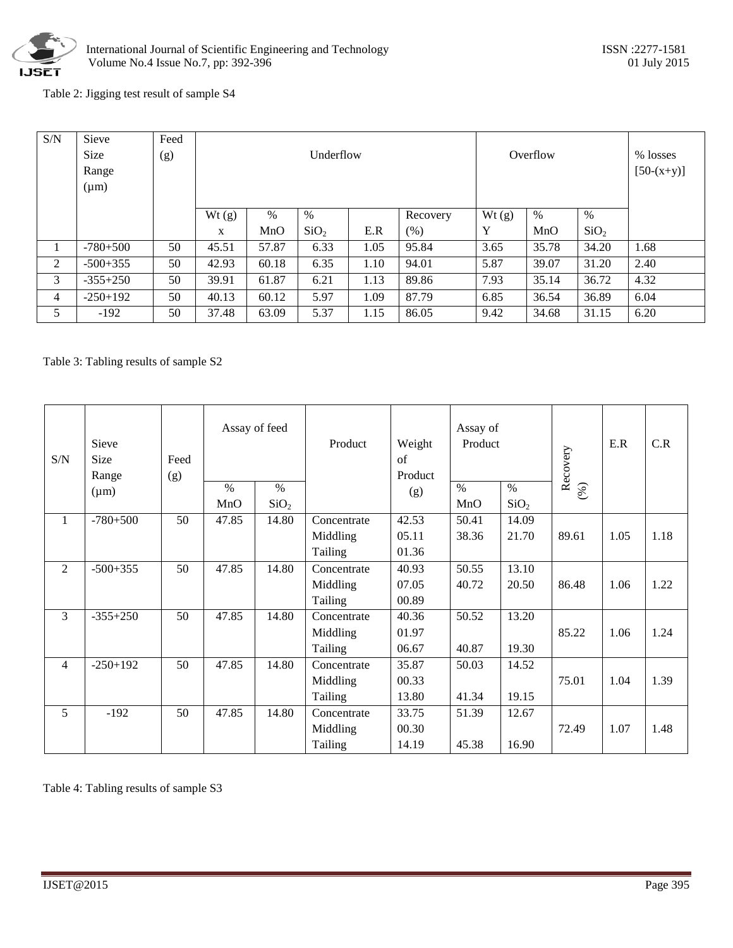

# Table 2: Jigging test result of sample S4

| S/N | Sieve<br><b>Size</b><br>Range<br>$(\mu m)$ | Feed<br>(g) |       |       | Underflow        |      | Overflow | % losses<br>$[50-(x+y)]$ |       |                  |      |
|-----|--------------------------------------------|-------------|-------|-------|------------------|------|----------|--------------------------|-------|------------------|------|
|     |                                            |             | Wt(g) | $\%$  | $\%$             |      | Recovery | Wt(g)                    | %     | %                |      |
|     |                                            |             | X     | MnO   | SiO <sub>2</sub> | E.R  | (% )     | Y                        | MnO   | SiO <sub>2</sub> |      |
|     | $-780+500$                                 | 50          | 45.51 | 57.87 | 6.33             | 1.05 | 95.84    | 3.65                     | 35.78 | 34.20            | 1.68 |
| 2   | $-500+355$                                 | 50          | 42.93 | 60.18 | 6.35             | 1.10 | 94.01    | 5.87                     | 39.07 | 31.20            | 2.40 |
| 3   | $-355+250$                                 | 50          | 39.91 | 61.87 | 6.21             | 1.13 | 89.86    | 7.93                     | 35.14 | 36.72            | 4.32 |
| 4   | $-250+192$                                 | 50          | 40.13 | 60.12 | 5.97             | 1.09 | 87.79    | 6.85                     | 36.54 | 36.89            | 6.04 |
| 5   | $-192$                                     | 50          | 37.48 | 63.09 | 5.37             | 1.15 | 86.05    | 9.42                     | 34.68 | 31.15            | 6.20 |

# Table 3: Tabling results of sample S2

| S/N            | Sieve<br>Size<br>Range | Feed<br>(g) | Assay of feed        |                          | Product                            | Weight<br>$\sigma$ f<br>Product | Assay of<br>Product |                          | Recovery | E.R  | C.R  |
|----------------|------------------------|-------------|----------------------|--------------------------|------------------------------------|---------------------------------|---------------------|--------------------------|----------|------|------|
|                | $(\mu m)$              |             | $\frac{0}{0}$<br>MnO | $\%$<br>SiO <sub>2</sub> |                                    | (g)                             | $\%$<br>MnO         | $\%$<br>SiO <sub>2</sub> | (%)      |      |      |
| $\mathbf{1}$   | $-780+500$             | 50          | 47.85                | 14.80                    | Concentrate<br>Middling<br>Tailing | 42.53<br>05.11<br>01.36         | 50.41<br>38.36      | 14.09<br>21.70           | 89.61    | 1.05 | 1.18 |
| 2              | $-500+355$             | 50          | 47.85                | 14.80                    | Concentrate<br>Middling<br>Tailing | 40.93<br>07.05<br>00.89         | 50.55<br>40.72      | 13.10<br>20.50           | 86.48    | 1.06 | 1.22 |
| 3              | $-355+250$             | 50          | 47.85                | 14.80                    | Concentrate<br>Middling<br>Tailing | 40.36<br>01.97<br>06.67         | 50.52<br>40.87      | 13.20<br>19.30           | 85.22    | 1.06 | 1.24 |
| $\overline{4}$ | $-250+192$             | 50          | 47.85                | 14.80                    | Concentrate<br>Middling<br>Tailing | 35.87<br>00.33<br>13.80         | 50.03<br>41.34      | 14.52<br>19.15           | 75.01    | 1.04 | 1.39 |
| 5              | $-192$                 | 50          | 47.85                | 14.80                    | Concentrate<br>Middling<br>Tailing | 33.75<br>00.30<br>14.19         | 51.39<br>45.38      | 12.67<br>16.90           | 72.49    | 1.07 | 1.48 |

Table 4: Tabling results of sample S3